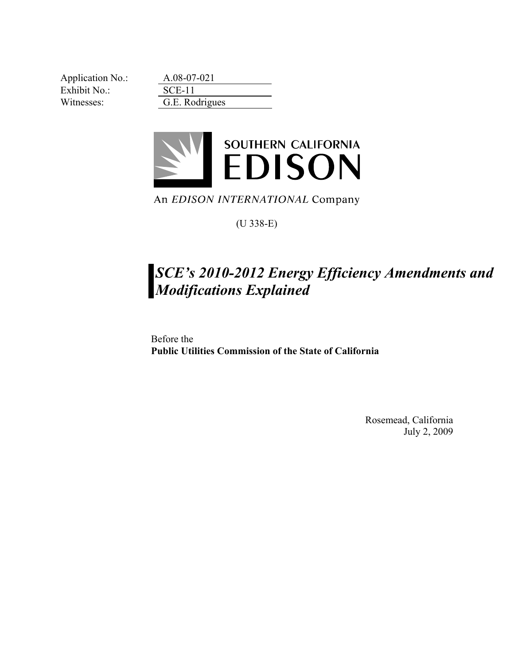Application No.: A.08-07-021 Exhibit No.: SCE-11 Witnesses: G.E. Rodrigues



An EDISON INTERNATIONAL Company

(U 338-E)

## *SCE's 2010-2012 Energy Efficiency Amendments and Modifications Explained*

Before the **Public Utilities Commission of the State of California** 

> Rosemead, California July 2, 2009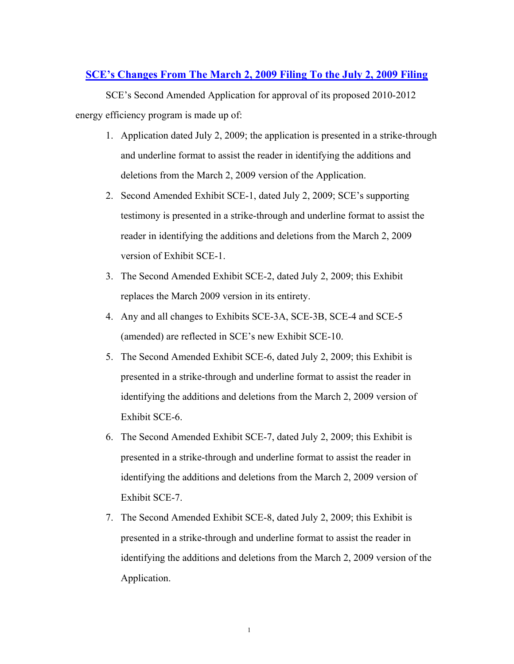## **SCE's Changes From The March 2, 2009 Filing To the July 2, 2009 Filing**

SCE's Second Amended Application for approval of its proposed 2010-2012 energy efficiency program is made up of:

- 1. Application dated July 2, 2009; the application is presented in a strike-through and underline format to assist the reader in identifying the additions and deletions from the March 2, 2009 version of the Application.
- 2. Second Amended Exhibit SCE-1, dated July 2, 2009; SCE's supporting testimony is presented in a strike-through and underline format to assist the reader in identifying the additions and deletions from the March 2, 2009 version of Exhibit SCE-1.
- 3. The Second Amended Exhibit SCE-2, dated July 2, 2009; this Exhibit replaces the March 2009 version in its entirety.
- 4. Any and all changes to Exhibits SCE-3A, SCE-3B, SCE-4 and SCE-5 (amended) are reflected in SCE's new Exhibit SCE-10.
- 5. The Second Amended Exhibit SCE-6, dated July 2, 2009; this Exhibit is presented in a strike-through and underline format to assist the reader in identifying the additions and deletions from the March 2, 2009 version of Exhibit SCE-6.
- 6. The Second Amended Exhibit SCE-7, dated July 2, 2009; this Exhibit is presented in a strike-through and underline format to assist the reader in identifying the additions and deletions from the March 2, 2009 version of Exhibit SCE-7.
- 7. The Second Amended Exhibit SCE-8, dated July 2, 2009; this Exhibit is presented in a strike-through and underline format to assist the reader in identifying the additions and deletions from the March 2, 2009 version of the Application.